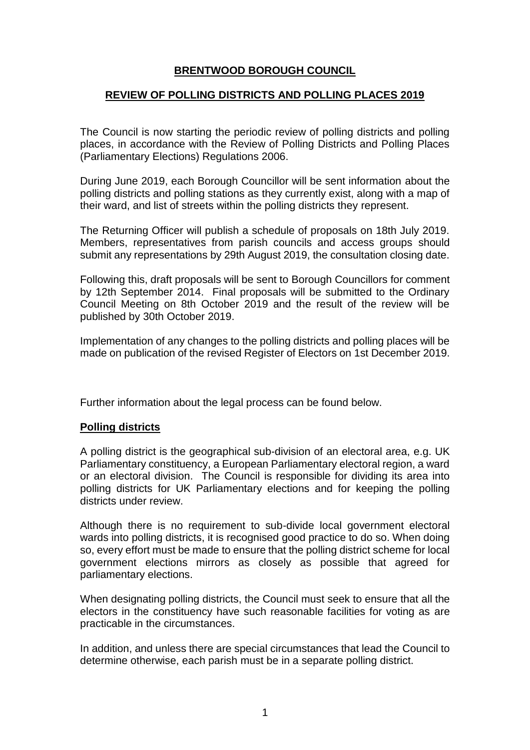# **BRENTWOOD BOROUGH COUNCIL**

### **REVIEW OF POLLING DISTRICTS AND POLLING PLACES 2019**

The Council is now starting the periodic review of polling districts and polling places, in accordance with the Review of Polling Districts and Polling Places (Parliamentary Elections) Regulations 2006.

During June 2019, each Borough Councillor will be sent information about the polling districts and polling stations as they currently exist, along with a map of their ward, and list of streets within the polling districts they represent.

The Returning Officer will publish a schedule of proposals on 18th July 2019. Members, representatives from parish councils and access groups should submit any representations by 29th August 2019, the consultation closing date.

Following this, draft proposals will be sent to Borough Councillors for comment by 12th September 2014. Final proposals will be submitted to the Ordinary Council Meeting on 8th October 2019 and the result of the review will be published by 30th October 2019.

Implementation of any changes to the polling districts and polling places will be made on publication of the revised Register of Electors on 1st December 2019.

Further information about the legal process can be found below.

### **Polling districts**

A polling district is the geographical sub-division of an electoral area, e.g. UK Parliamentary constituency, a European Parliamentary electoral region, a ward or an electoral division. The Council is responsible for dividing its area into polling districts for UK Parliamentary elections and for keeping the polling districts under review.

Although there is no requirement to sub-divide local government electoral wards into polling districts, it is recognised good practice to do so. When doing so, every effort must be made to ensure that the polling district scheme for local government elections mirrors as closely as possible that agreed for parliamentary elections.

When designating polling districts, the Council must seek to ensure that all the electors in the constituency have such reasonable facilities for voting as are practicable in the circumstances.

In addition, and unless there are special circumstances that lead the Council to determine otherwise, each parish must be in a separate polling district.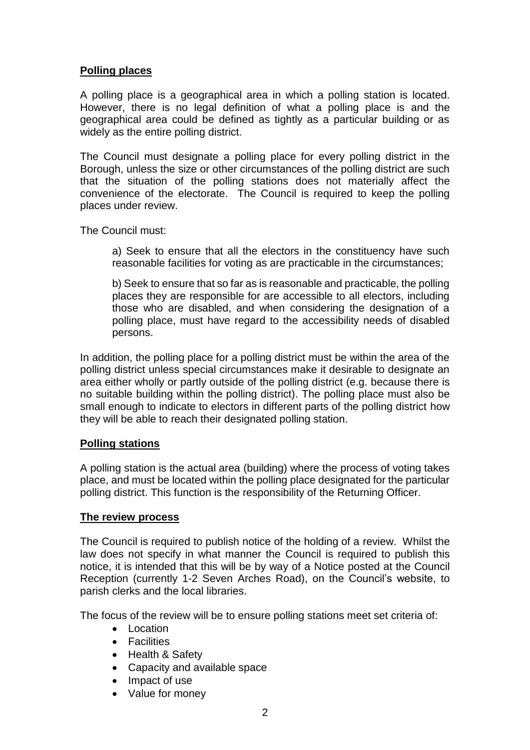# **Polling places**

A polling place is a geographical area in which a polling station is located. However, there is no legal definition of what a polling place is and the geographical area could be defined as tightly as a particular building or as widely as the entire polling district.

The Council must designate a polling place for every polling district in the Borough, unless the size or other circumstances of the polling district are such that the situation of the polling stations does not materially affect the convenience of the electorate. The Council is required to keep the polling places under review.

The Council must:

a) Seek to ensure that all the electors in the constituency have such reasonable facilities for voting as are practicable in the circumstances;

b) Seek to ensure that so far as is reasonable and practicable, the polling places they are responsible for are accessible to all electors, including those who are disabled, and when considering the designation of a polling place, must have regard to the accessibility needs of disabled persons.

In addition, the polling place for a polling district must be within the area of the polling district unless special circumstances make it desirable to designate an area either wholly or partly outside of the polling district (e.g. because there is no suitable building within the polling district). The polling place must also be small enough to indicate to electors in different parts of the polling district how they will be able to reach their designated polling station.

## **Polling stations**

A polling station is the actual area (building) where the process of voting takes place, and must be located within the polling place designated for the particular polling district. This function is the responsibility of the Returning Officer.

#### **The review process**

The Council is required to publish notice of the holding of a review. Whilst the law does not specify in what manner the Council is required to publish this notice, it is intended that this will be by way of a Notice posted at the Council Reception (currently 1-2 Seven Arches Road), on the Council's website, to parish clerks and the local libraries.

The focus of the review will be to ensure polling stations meet set criteria of:

- Location
- Facilities
- Health & Safety
- Capacity and available space
- Impact of use
- Value for money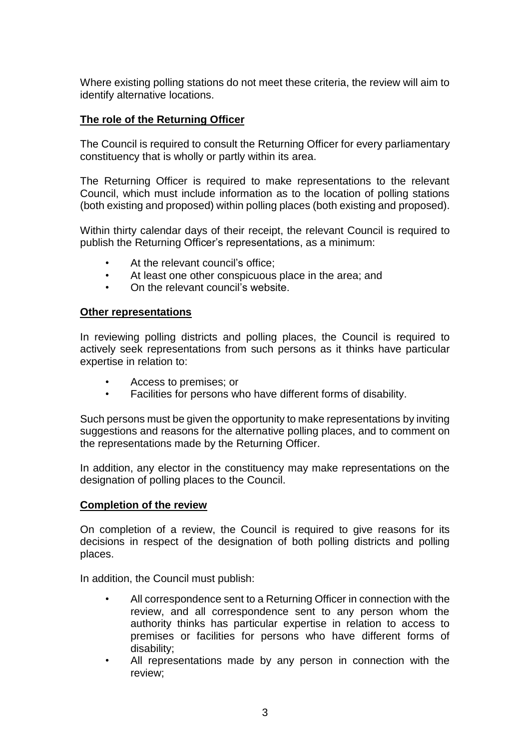Where existing polling stations do not meet these criteria, the review will aim to identify alternative locations.

# **The role of the Returning Officer**

The Council is required to consult the Returning Officer for every parliamentary constituency that is wholly or partly within its area.

The Returning Officer is required to make representations to the relevant Council, which must include information as to the location of polling stations (both existing and proposed) within polling places (both existing and proposed).

Within thirty calendar days of their receipt, the relevant Council is required to publish the Returning Officer's representations, as a minimum:

- At the relevant council's office:
- At least one other conspicuous place in the area; and
- On the relevant council's website.

#### **Other representations**

In reviewing polling districts and polling places, the Council is required to actively seek representations from such persons as it thinks have particular expertise in relation to:

- Access to premises; or
- Facilities for persons who have different forms of disability.

Such persons must be given the opportunity to make representations by inviting suggestions and reasons for the alternative polling places, and to comment on the representations made by the Returning Officer.

In addition, any elector in the constituency may make representations on the designation of polling places to the Council.

## **Completion of the review**

On completion of a review, the Council is required to give reasons for its decisions in respect of the designation of both polling districts and polling places.

In addition, the Council must publish:

- All correspondence sent to a Returning Officer in connection with the review, and all correspondence sent to any person whom the authority thinks has particular expertise in relation to access to premises or facilities for persons who have different forms of disability;
- All representations made by any person in connection with the review;